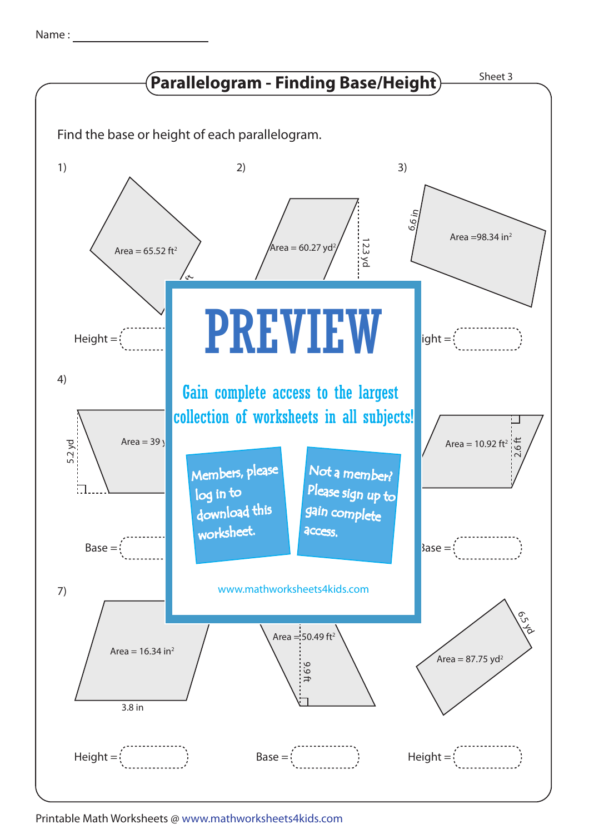| Name |  |
|------|--|
|      |  |